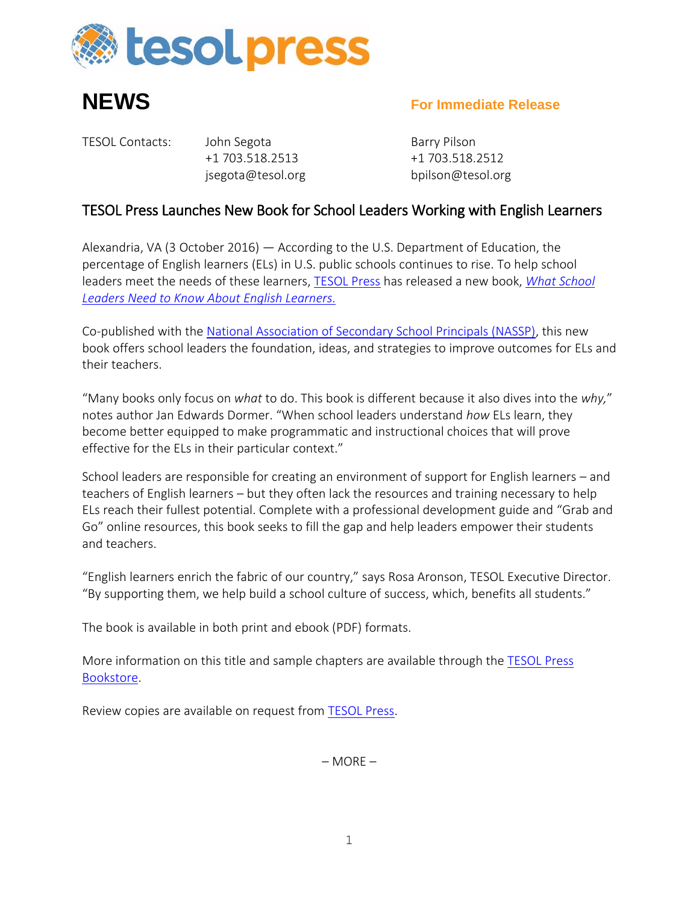



## **NEWS For Immediate Release**

TESOL Contacts: John Segota Barry Pilson +1 703.518.2513 +1 703.518.2512

jsegota@tesol.org bpilson@tesol.org

## TESOL Press Launches New Book for School Leaders Working with English Learners

Alexandria, VA (3 October 2016) — According to the U.S. Department of Education, the percentage of English learners (ELs) in U.S. public schools continues to rise. To help school leaders meet the needs of these learners, [TESOL Press](http://www.tesol.org/read-and-publish/bookstore) has released a new book, *[What School](http://bookstore.tesol.org/ItemDetail?iProductCode=14123)  [Leaders Need to Know About English Learners.](http://bookstore.tesol.org/ItemDetail?iProductCode=14123)*

Co-published with the [National Association of Secondary School Principals \(NASSP\),](https://www.principals.org/?SSO=true) this new book offers school leaders the foundation, ideas, and strategies to improve outcomes for ELs and their teachers.

"Many books only focus on *what* to do. This book is different because it also dives into the *why,*" notes author Jan Edwards Dormer. "When school leaders understand *how* ELs learn, they become better equipped to make programmatic and instructional choices that will prove effective for the ELs in their particular context."

School leaders are responsible for creating an environment of support for English learners – and teachers of English learners – but they often lack the resources and training necessary to help ELs reach their fullest potential. Complete with a professional development guide and "Grab and Go" online resources, this book seeks to fill the gap and help leaders empower their students and teachers.

"English learners enrich the fabric of our country," says Rosa Aronson, TESOL Executive Director. "By supporting them, we help build a school culture of success, which, benefits all students."

The book is available in both print and ebook (PDF) formats.

More information on this title and sample chapters are available through the [TESOL](http://www.tesol.org/bookstore) Press [Bookstore.](http://www.tesol.org/bookstore)

Review copies are available on request from [TESOL Press.](mailto:tesolpubs@brightkey.net)

– MORE –